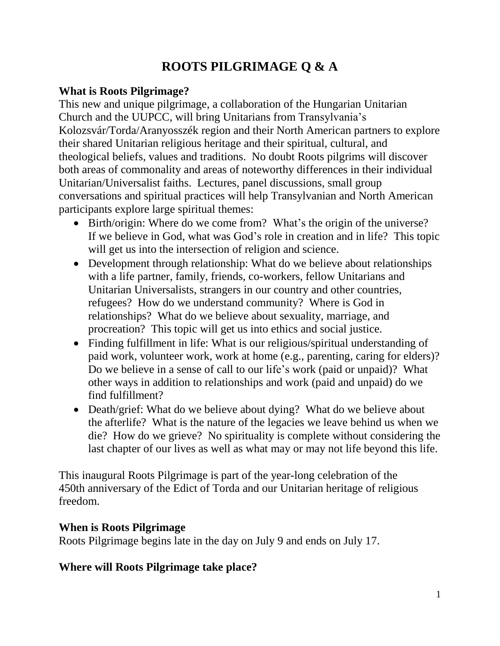# **ROOTS PILGRIMAGE Q & A**

## **What is Roots Pilgrimage?**

This new and unique pilgrimage, a collaboration of the Hungarian Unitarian Church and the UUPCC, will bring Unitarians from Transylvania's Kolozsvár/Torda/Aranyosszék region and their North American partners to explore their shared Unitarian religious heritage and their spiritual, cultural, and theological beliefs, values and traditions. No doubt Roots pilgrims will discover both areas of commonality and areas of noteworthy differences in their individual Unitarian/Universalist faiths. Lectures, panel discussions, small group conversations and spiritual practices will help Transylvanian and North American participants explore large spiritual themes:

- Birth/origin: Where do we come from? What's the origin of the universe? If we believe in God, what was God's role in creation and in life? This topic will get us into the intersection of religion and science.
- Development through relationship: What do we believe about relationships with a life partner, family, friends, co-workers, fellow Unitarians and Unitarian Universalists, strangers in our country and other countries, refugees? How do we understand community? Where is God in relationships? What do we believe about sexuality, marriage, and procreation? This topic will get us into ethics and social justice.
- Finding fulfillment in life: What is our religious/spiritual understanding of paid work, volunteer work, work at home (e.g., parenting, caring for elders)? Do we believe in a sense of call to our life's work (paid or unpaid)? What other ways in addition to relationships and work (paid and unpaid) do we find fulfillment?
- Death/grief: What do we believe about dying? What do we believe about the afterlife? What is the nature of the legacies we leave behind us when we die? How do we grieve? No spirituality is complete without considering the last chapter of our lives as well as what may or may not life beyond this life.

This inaugural Roots Pilgrimage is part of the year-long celebration of the 450th anniversary of the Edict of Torda and our Unitarian heritage of religious freedom.

## **When is Roots Pilgrimage**

Roots Pilgrimage begins late in the day on July 9 and ends on July 17.

## **Where will Roots Pilgrimage take place?**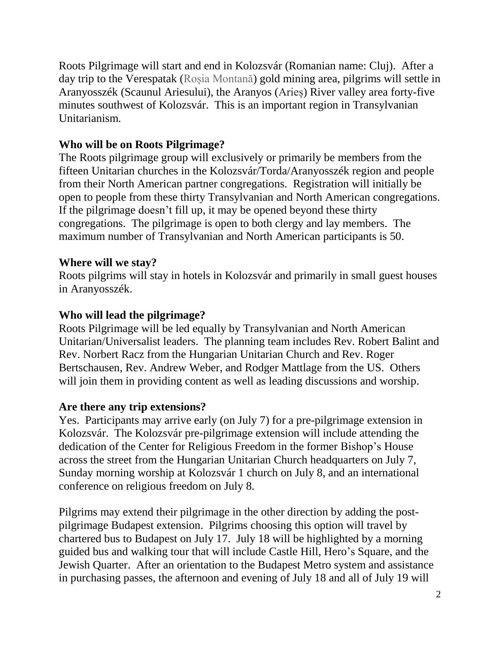Roots Pilgrimage will start and end in Kolozsvár (Romanian name: Cluj). After a day trip to the Verespatak (Roșia Montană) gold mining area, pilgrims will settle in Aranyosszék (Scaunul Ariesului), the Aranyos (Arieș) River valley area forty-five minutes southwest of Kolozsvár. This is an important region in Transylvanian Unitarianism.

### **Who will be on Roots Pilgrimage?**

The Roots pilgrimage group will exclusively or primarily be members from the fifteen Unitarian churches in the Kolozsvár/Torda/Aranyosszék region and people from their North American partner congregations. Registration will initially be open to people from these thirty Transylvanian and North American congregations. If the pilgrimage doesn't fill up, it may be opened beyond these thirty congregations. The pilgrimage is open to both clergy and lay members. The maximum number of Transylvanian and North American participants is 50.

#### **Where will we stay?**

Roots pilgrims will stay in hotels in Kolozsvár and primarily in small guest houses in Aranyosszék.

#### **Who will lead the pilgrimage?**

Roots Pilgrimage will be led equally by Transylvanian and North American Unitarian/Universalist leaders. The planning team includes Rev. Robert Balint and Rev. Norbert Racz from the Hungarian Unitarian Church and Rev. Roger Bertschausen, Rev. Andrew Weber, and Rodger Mattlage from the US. Others will join them in providing content as well as leading discussions and worship.

#### **Are there any trip extensions?**

Yes. Participants may arrive early (on July 7) for a pre-pilgrimage extension in Kolozsvár. The Kolozsvár pre-pilgrimage extension will include attending the dedication of the Center for Religious Freedom in the former Bishop's House across the street from the Hungarian Unitarian Church headquarters on July 7, Sunday morning worship at Kolozsvár 1 church on July 8, and an international conference on religious freedom on July 8.

Pilgrims may extend their pilgrimage in the other direction by adding the postpilgrimage Budapest extension. Pilgrims choosing this option will travel by chartered bus to Budapest on July 17. July 18 will be highlighted by a morning guided bus and walking tour that will include Castle Hill, Hero's Square, and the Jewish Quarter. After an orientation to the Budapest Metro system and assistance in purchasing passes, the afternoon and evening of July 18 and all of July 19 will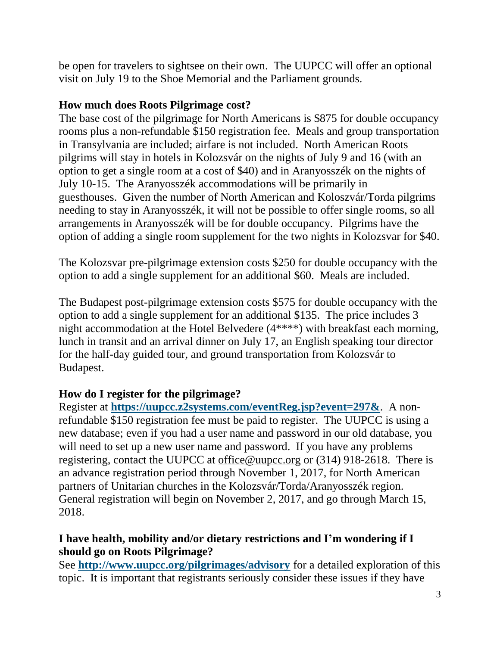be open for travelers to sightsee on their own. The UUPCC will offer an optional visit on July 19 to the Shoe Memorial and the Parliament grounds.

#### **How much does Roots Pilgrimage cost?**

The base cost of the pilgrimage for North Americans is \$875 for double occupancy rooms plus a non-refundable \$150 registration fee. Meals and group transportation in Transylvania are included; airfare is not included. North American Roots pilgrims will stay in hotels in Kolozsvár on the nights of July 9 and 16 (with an option to get a single room at a cost of \$40) and in Aranyosszék on the nights of July 10-15. The Aranyosszék accommodations will be primarily in guesthouses. Given the number of North American and Koloszvár/Torda pilgrims needing to stay in Aranyosszék, it will not be possible to offer single rooms, so all arrangements in Aranyosszék will be for double occupancy. Pilgrims have the option of adding a single room supplement for the two nights in Kolozsvar for \$40.

The Kolozsvar pre-pilgrimage extension costs \$250 for double occupancy with the option to add a single supplement for an additional \$60. Meals are included.

The Budapest post-pilgrimage extension costs \$575 for double occupancy with the option to add a single supplement for an additional \$135. The price includes 3 night accommodation at the Hotel Belvedere (4\*\*\*\*) with breakfast each morning, lunch in transit and an arrival dinner on July 17, an English speaking tour director for the half-day guided tour, and ground transportation from Kolozsvár to Budapest.

#### **How do I register for the pilgrimage?**

Register at **<https://uupcc.z2systems.com/eventReg.jsp?event=297&>**. A nonrefundable \$150 registration fee must be paid to register. The UUPCC is using a new database; even if you had a user name and password in our old database, you will need to set up a new user name and password. If you have any problems registering, contact the UUPCC at [office@uupcc.org](mailto:office@uupcc.org) or (314) 918-2618. There is an advance registration period through November 1, 2017, for North American partners of Unitarian churches in the Kolozsvár/Torda/Aranyosszék region. General registration will begin on November 2, 2017, and go through March 15, 2018.

## **I have health, mobility and/or dietary restrictions and I'm wondering if I should go on Roots Pilgrimage?**

See **<http://www.uupcc.org/pilgrimages/advisory>** for a detailed exploration of this topic. It is important that registrants seriously consider these issues if they have